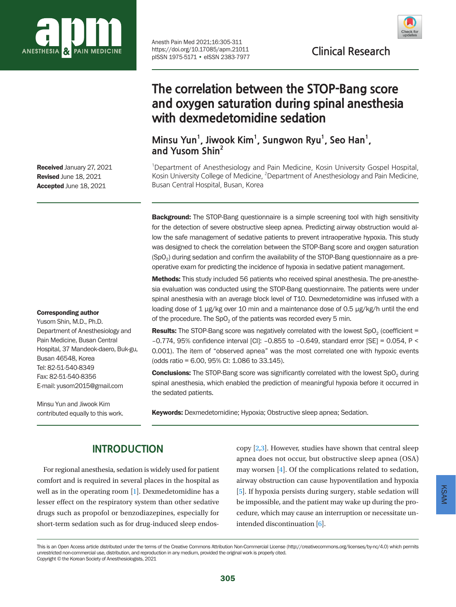

Anesth Pain Med 2021;16:305-311 https://doi.org/10.17085/apm.21011 pISSN 1975-5171 • eISSN 2383-7977



**Clinical Research**

**The correlation between the STOP-Bang score and oxygen saturation during spinal anesthesia with dexmedetomidine sedation**

**Minsu Yun<sup>1</sup>, Jiwook Kim<sup>1</sup>, Sungwon Ryu<sup>1</sup>, Seo Han<sup>1</sup>, and Yusom Shin2**

<sup>1</sup>Department of Anesthesiology and Pain Medicine, Kosin University Gospel Hospital, Kosin University College of Medicine, <sup>2</sup>Department of Anesthesiology and Pain Medicine, Busan Central Hospital, Busan, Korea

**Background:** The STOP-Bang questionnaire is a simple screening tool with high sensitivity for the detection of severe obstructive sleep apnea. Predicting airway obstruction would allow the safe management of sedative patients to prevent intraoperative hypoxia. This study was designed to check the correlation between the STOP-Bang score and oxygen saturation  $(SpO<sub>2</sub>)$  during sedation and confirm the availability of the STOP-Bang questionnaire as a preoperative exam for predicting the incidence of hypoxia in sedative patient management.

Methods: This study included 56 patients who received spinal anesthesia. The pre-anesthesia evaluation was conducted using the STOP-Bang questionnaire. The patients were under spinal anesthesia with an average block level of T10. Dexmedetomidine was infused with a loading dose of 1 μg/kg over 10 min and a maintenance dose of 0.5 μg/kg/h until the end of the procedure. The  $SpO<sub>2</sub>$  of the patients was recorded every 5 min.

**Results:** The STOP-Bang score was negatively correlated with the lowest SpO<sub>2</sub> (coefficient = –0.774, 95% confidence interval [CI]: –0.855 to –0.649, standard error [SE] = 0.054, P < 0.001). The item of "observed apnea" was the most correlated one with hypoxic events (odds ratio = 6.00, 95% CI: 1.086 to 33.145).

**Conclusions:** The STOP-Bang score was significantly correlated with the lowest SpO<sub>2</sub> during spinal anesthesia, which enabled the prediction of meaningful hypoxia before it occurred in the sedated patients.

Keywords: Dexmedetomidine; Hypoxia; Obstructive sleep apnea; Sedation.

# **INTRODUCTION**

For regional anesthesia, sedation is widely used for patient comfort and is required in several places in the hospital as well as in the operating room [\[1\]](#page-5-0). Dexmedetomidine has a lesser effect on the respiratory system than other sedative drugs such as propofol or benzodiazepines, especially for short-term sedation such as for drug-induced sleep endoscopy  $[2,3]$  $[2,3]$  $[2,3]$ . However, studies have shown that central sleep apnea does not occur, but obstructive sleep apnea (OSA) may worsen [\[4\]](#page-5-3). Of the complications related to sedation, airway obstruction can cause hypoventilation and hypoxia [\[5\]](#page-5-4). If hypoxia persists during surgery, stable sedation will be impossible, and the patient may wake up during the procedure, which may cause an interruption or necessitate unintended discontinuation [\[6](#page-6-0)].

Received January 27, 2021 Revised June 18, 2021 Accepted June 18, 2021

#### Corresponding author

Yusom Shin, M.D., Ph.D. Department of Anesthesiology and Pain Medicine, Busan Central Hospital, 37 Mandeok-daero, Buk-gu, Busan 46548, Korea Tel: 82-51-540-8349 Fax: 82-51-540-8356 E-mail: yusom2015@gmail.com

Minsu Yun and Jiwook Kim contributed equally to this work.

This is an Open Access article distributed under the terms of the Creative Commons Attribution Non-Commercial License (http://creativecommons.org/licenses/by-nc/4.0) which permits unrestricted non-commercial use, distribution, and reproduction in any medium, provided the original work is properly cited. Copyright © the Korean Society of Anesthesiologists, 2021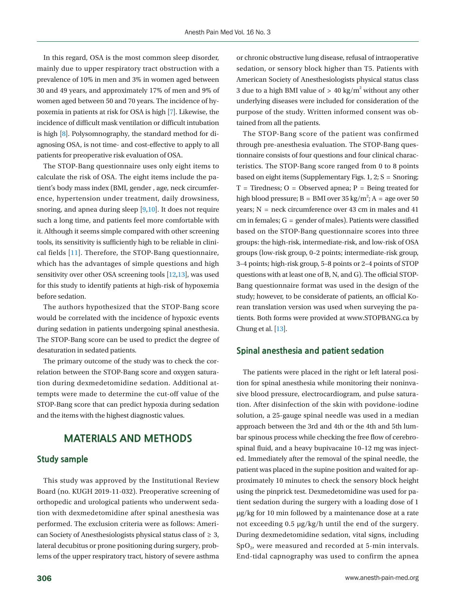In this regard, OSA is the most common sleep disorder, mainly due to upper respiratory tract obstruction with a prevalence of 10% in men and 3% in women aged between 30 and 49 years, and approximately 17% of men and 9% of women aged between 50 and 70 years. The incidence of hypoxemia in patients at risk for OSA is high [\[7](#page-6-1)]. Likewise, the incidence of difficult mask ventilation or difficult intubation is high [\[8\]](#page-6-2). Polysomnography, the standard method for diagnosing OSA, is not time- and cost-effective to apply to all patients for preoperative risk evaluation of OSA.

The STOP-Bang questionnaire uses only eight items to calculate the risk of OSA. The eight items include the patient's body mass index (BMI, gender , age, neck circumference, hypertension under treatment, daily drowsiness, snoring, and apnea during sleep [\[9,](#page-6-3)[10\]](#page-6-4). It does not require such a long time, and patients feel more comfortable with it. Although it seems simple compared with other screening tools, its sensitivity is sufficiently high to be reliable in clinical fields [\[11](#page-6-5)]. Therefore, the STOP-Bang questionnaire, which has the advantages of simple questions and high sensitivity over other OSA screening tools [\[12](#page-6-6)[,13\]](#page-6-4), was used for this study to identify patients at high-risk of hypoxemia before sedation.

The authors hypothesized that the STOP-Bang score would be correlated with the incidence of hypoxic events during sedation in patients undergoing spinal anesthesia. The STOP-Bang score can be used to predict the degree of desaturation in sedated patients.

The primary outcome of the study was to check the correlation between the STOP-Bang score and oxygen saturation during dexmedetomidine sedation. Additional attempts were made to determine the cut-off value of the STOP-Bang score that can predict hypoxia during sedation and the items with the highest diagnostic values.

## **MATERIALS AND METHODS**

#### **Study sample**

This study was approved by the Institutional Review Board (no. KUGH 2019-11-032). Preoperative screening of orthopedic and urological patients who underwent sedation with dexmedetomidine after spinal anesthesia was performed. The exclusion criteria were as follows: American Society of Anesthesiologists physical status class of  $\geq 3$ , lateral decubitus or prone positioning during surgery, problems of the upper respiratory tract, history of severe asthma

or chronic obstructive lung disease, refusal of intraoperative sedation, or sensory block higher than T5. Patients with American Society of Anesthesiologists physical status class 3 due to a high BMI value of  $> 40$  kg/m<sup>2</sup> without any other underlying diseases were included for consideration of the purpose of the study. Written informed consent was obtained from all the patients.

The STOP-Bang score of the patient was confirmed through pre-anesthesia evaluation. The STOP-Bang questionnaire consists of four questions and four clinical characteristics. The STOP-Bang score ranged from 0 to 8 points based on eight items (Supplementary Figs. 1, 2;  $S =$  Snoring;  $T =$  Tiredness; O = Observed apnea; P = Being treated for high blood pressure;  $B = BMI$  over 35 kg/m<sup>2</sup>;  $A = age$  over 50 years;  $N =$  neck circumference over 43 cm in males and 41 cm in females;  $G =$  gender of males). Patients were classified based on the STOP-Bang questionnaire scores into three groups: the high-risk, intermediate-risk, and low-risk of OSA groups (low-risk group, 0–2 points; intermediate-risk group, 3–4 points; high-risk group, 5–8 points or 2–4 points of STOP questions with at least one of B, N, and G). The official STOP-Bang questionnaire format was used in the design of the study; however, to be considerate of patients, an official Korean translation version was used when surveying the patients. Both forms were provided at [www.STOPBANG.c](www.STOPBANG.ca)a by Chung et al. [\[13](#page-6-4)].

### **Spinal anesthesia and patient sedation**

The patients were placed in the right or left lateral position for spinal anesthesia while monitoring their noninvasive blood pressure, electrocardiogram, and pulse saturation. After disinfection of the skin with povidone-iodine solution, a 25-gauge spinal needle was used in a median approach between the 3rd and 4th or the 4th and 5th lumbar spinous process while checking the free flow of cerebrospinal fluid, and a heavy bupivacaine 10–12 mg was injected. Immediately after the removal of the spinal needle, the patient was placed in the supine position and waited for approximately 10 minutes to check the sensory block height using the pinprick test. Dexmedetomidine was used for patient sedation during the surgery with a loading dose of 1 μg/kg for 10 min followed by a maintenance dose at a rate not exceeding 0.5 μg/kg/h until the end of the surgery. During dexmedetomidine sedation, vital signs, including  $SpO<sub>2</sub>$ , were measured and recorded at 5-min intervals. End-tidal capnography was used to confirm the apnea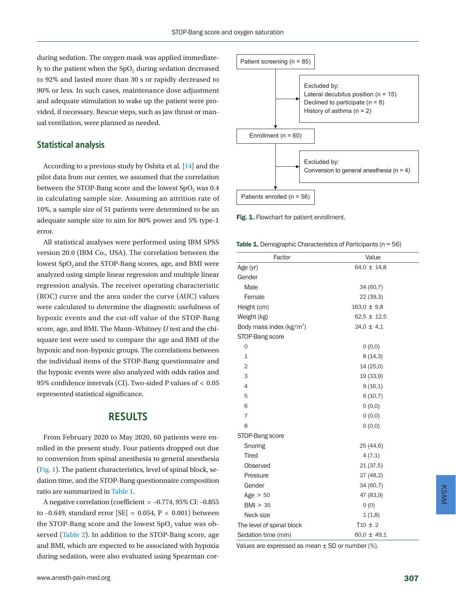during sedation. The oxygen mask was applied immediately to the patient when the  $SpO<sub>2</sub>$  during sedation decreased to 92% and lasted more than 30 s or rapidly decreased to 90% or less. In such cases, maintenance dose adjustment and adequate stimulation to wake up the patient were provided, if necessary. Rescue steps, such as jaw thrust or manual ventilation, were planned as needed.

### **Statistical analysis**

According to a previous study by Oshita et al. [\[14\]](#page-6-7) and the pilot data from our center, we assumed that the correlation between the STOP-Bang score and the lowest  $SpO<sub>2</sub>$  was 0.4 in calculating sample size. Assuming an attrition rate of 10%, a sample size of 51 patients were determined to be an adequate sample size to aim for 80% power and 5% type-1 error.

All statistical analyses were performed using IBM SPSS version 20.0 (IBM Co., USA). The correlation between the lowest SpO<sub>2</sub> and the STOP-Bang scores, age, and BMI were analyzed using simple linear regression and multiple linear regression analysis. The receiver operating characteristic (ROC) curve and the area under the curve (AUC) values were calculated to determine the diagnostic usefulness of hypoxic events and the cut-off value of the STOP-Bang score, age, and BMI. The Mann–Whitney *U* test and the chisquare test were used to compare the age and BMI of the hypoxic and non-hypoxic groups. The correlations between the individual items of the STOP-Bang questionnaire and the hypoxic events were also analyzed with odds ratios and 95% confidence intervals (CI). Two-sided P values of < 0.05 represented statistical significance.

## **RESULTS**

From February 2020 to May 2020, 60 patients were enrolled in the present study. Four patients dropped out due to conversion from spinal anesthesia to general anesthesia [\(Fig. 1\)](#page-2-0). The patient characteristics, level of spinal block, sedation time, and the STOP-Bang questionnaire composition ratio are summarized in [Table 1.](#page-2-1)

A negative correlation (coefficient = –0.774, 95% CI: –0.855 to -0.649, standard error  $[SE] = 0.054$ ,  $P < 0.001$ ) between the STOP-Bang score and the lowest  $SpO<sub>2</sub>$  value was observed [\(Table 2](#page-3-0)). In addition to the STOP-Bang score, age and BMI, which are expected to be associated with hypoxia during sedation, were also evaluated using Spearman cor-

<span id="page-2-0"></span>

Fig. 1. Flowchart for patient enrollment.

<span id="page-2-1"></span>**Table 1.** Demographic Characteristics of Participants ( $n = 56$ )

| Factor                               | Value           |  |  |
|--------------------------------------|-----------------|--|--|
| Age (yr)                             | 64.0 $\pm$ 14.8 |  |  |
| Gender                               |                 |  |  |
| Male                                 | 34 (60.7)       |  |  |
| Female                               | 22 (39.3)       |  |  |
| Height (cm)                          | $163.0 \pm 9.8$ |  |  |
| Weight (kg)                          | $62.5 \pm 12.5$ |  |  |
| Body mass index (kg/m <sup>2</sup> ) | $24.0 \pm 4.1$  |  |  |
| STOP-Bang score                      |                 |  |  |
| $\mathbf 0$                          | 0(0.0)          |  |  |
| $\mathbf{1}$                         | 8(14.3)         |  |  |
| $\overline{2}$                       | 14 (25.0)       |  |  |
| 3                                    | 19 (33.9)       |  |  |
| 4                                    | 9(16.1)         |  |  |
| 5                                    | 6(10.7)         |  |  |
| 6                                    | 0(0.0)          |  |  |
| $\overline{7}$                       | 0(0.0)          |  |  |
| 8                                    | 0(0.0)          |  |  |
| STOP-Bang score                      |                 |  |  |
| Snoring                              | 25 (44.6)       |  |  |
| <b>Tired</b>                         | 4(7.1)          |  |  |
| Observed                             | 21(37.5)        |  |  |
| Pressure                             | 27 (48.2)       |  |  |
| Gender                               | 34 (60.7)       |  |  |
| Age $> 50$                           | 47 (83.9)       |  |  |
| BMI > 35                             | 0(0)            |  |  |
| Neck size                            | 1(1.8)          |  |  |
| The level of spinal block            | $T10 \pm 2$     |  |  |
| Sedation time (min)                  | $60.0 \pm 49.1$ |  |  |

Values are expressed as mean  $\pm$  SD or number (%).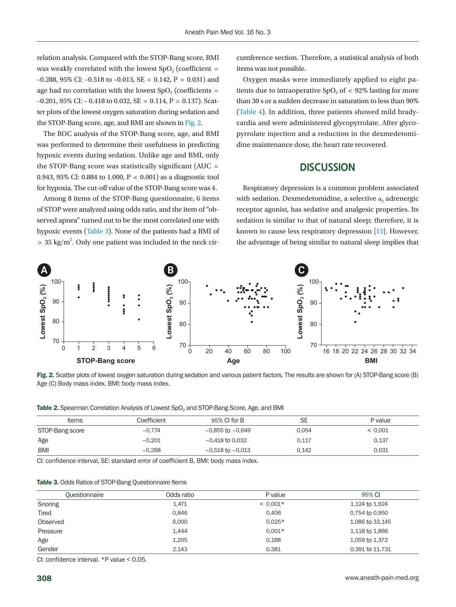relation analysis. Compared with the STOP-Bang score, BMI was weakly correlated with the lowest  $SpO<sub>2</sub>$  (coefficient = –0.288, 95% CI: –0.518 to –0.013, SE = 0.142, P = 0.031) and age had no correlation with the lowest  $SpO<sub>2</sub>$  (coefficients =  $-0.201$ , 95% CI:  $-0.418$  to 0.032, SE = 0.114, P = 0.137). Scatter plots of the lowest oxygen saturation during sedation and the STOP-Bang score, age, and BMI are shown in [Fig. 2.](#page-3-1)

The ROC analysis of the STOP-Bang score, age, and BMI was performed to determine their usefulness in predicting hypoxic events during sedation. Unlike age and BMI, only the STOP-Bang score was statistically significant (AUC  $=$ 0.943, 95% CI: 0.884 to 1.000, P < 0.001) as a diagnostic tool for hypoxia. The cut-off value of the STOP-Bang score was 4.

Among 8 items of the STOP-Bang questionnaire, 6 items of STOP were analyzed using odds ratio, and the item of "observed apnea" turned out to be the most correlated one with hypoxic events [\(Table 3\)](#page-3-2). None of the patients had a BMI of  $> 35 \text{ kg/m}^2$ . Only one patient was included in the neck cir-

cumference section. Therefore, a statistical analysis of both items was not possible.

Oxygen masks were immediately applied to eight patients due to intraoperative  $SpO<sub>2</sub>$  of  $\lt$  92% lasting for more than 30 s or a sudden decrease in saturation to less than 90% [\(Table 4\)](#page-4-0). In addition, three patients showed mild bradycardia and were administered glycopyrrolate. After glycopyrrolate injection and a reduction in the dexmedetomidine maintenance dose, the heart rate recovered.

## **DISCUSSION**

Respiratory depression is a common problem associated with sedation. Dexmedetomidine, a selective  $a_2$  adrenergic receptor agonist, has sedative and analgesic properties. Its sedation is similar to that of natural sleep; therefore, it is known to cause less respiratory depression [\[15\]](#page-6-8). However, the advantage of being similar to natural sleep implies that

<span id="page-3-1"></span>

Fig. 2. Scatter plots of lowest oxygen saturation during sedation and various patient factors. The results are shown for (A) STOP-Bang score (B) Age (C) Body mass index. BMI: body mass index.

<span id="page-3-0"></span>

| Table 2. Spearman Correlation Analysis of Lowest SpO <sub>2</sub> and STOP-Bang Score, Age, and BMI |  |  |  |
|-----------------------------------------------------------------------------------------------------|--|--|--|
|-----------------------------------------------------------------------------------------------------|--|--|--|

| <b>Items</b>    | Coefficient | 95% CI for B         | SE    | P value |
|-----------------|-------------|----------------------|-------|---------|
| STOP-Bang score | $-0.774$    | $-0.855$ to $-0.649$ | 0.054 | < 0.001 |
| Age             | $-0.201$    | $-0.418$ to 0.032    | 0.117 | 0.137   |
| <b>BMI</b>      | $-0.288$    | $-0.518$ to $-0.013$ | 0.142 | 0.031   |

CI: confidence interval, SE: standard error of coefficient B, BMI: body mass index.

<span id="page-3-2"></span>

|  |  |  |  |  |  | <b>Table 3.</b> Odds Ratios of STOP-Bang Questionnaire Items |  |
|--|--|--|--|--|--|--------------------------------------------------------------|--|
|--|--|--|--|--|--|--------------------------------------------------------------|--|

| Questionnaire | Odds ratio | P value    | 95% CI          |
|---------------|------------|------------|-----------------|
| Snoring       | 1,471      | $< 0.001*$ | 1,124 to 1,924  |
| Tired         | 0.846      | 0.406      | 0.754 to 0.950  |
| Observed      | 6.000      | $0.025*$   | 1.086 to 33.145 |
| Pressure      | 1.444      | $0.001*$   | 1.118 to 1.866  |
| Age           | 1.205      | 0.188      | 1.059 to 1.372  |
| Gender        | 2.143      | 0.381      | 0.391 to 11.731 |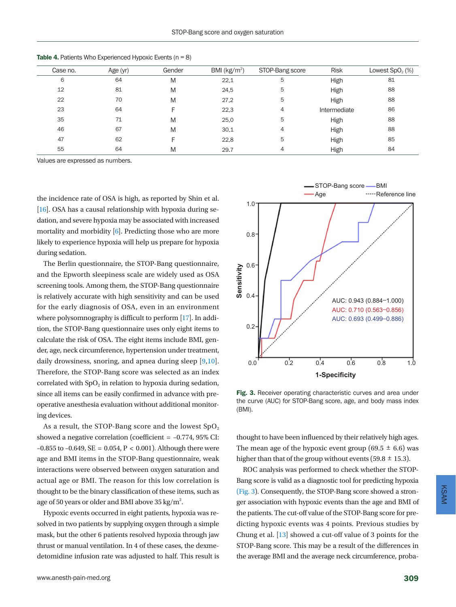| Case no. | Age (yr) | Gender | BMI ( $kg/m2$ ) | STOP-Bang score | <b>Risk</b>  | Lowest $SpO2(%)$ |
|----------|----------|--------|-----------------|-----------------|--------------|------------------|
| 6        | 64       | M      | 22,1            | 5               | High         | 81               |
| 12       | 81       | M      | 24,5            | 5               | High         | 88               |
| 22       | 70       | M      | 27,2            | 5               | High         | 88               |
| 23       | 64       |        | 22,3            | 4               | Intermediate | 86               |
| 35       | 71       | M      | 25.0            | 5               | High         | 88               |
| 46       | 67       | M      | 30,1            | 4               | High         | 88               |
| 47       | 62       | F      | 22,8            | 5               | High         | 85               |
| 55       | 64       | M      | 29.7            | 4               | High         | 84               |

<span id="page-4-0"></span>**Table 4.** Patients Who Experienced Hypoxic Events  $(n = 8)$ 

Values are expressed as numbers.

the incidence rate of OSA is high, as reported by Shin et al. [\[16](#page-6-9)]. OSA has a causal relationship with hypoxia during sedation, and severe hypoxia may be associated with increased mortality and morbidity [\[6\]](#page-5-1). Predicting those who are more likely to experience hypoxia will help us prepare for hypoxia during sedation.

The Berlin questionnaire, the STOP-Bang questionnaire, and the Epworth sleepiness scale are widely used as OSA screening tools. Among them, the STOP-Bang questionnaire is relatively accurate with high sensitivity and can be used for the early diagnosis of OSA, even in an environment where polysomnography is difficult to perform [\[17](#page-6-10)]. In addition, the STOP-Bang questionnaire uses only eight items to calculate the risk of OSA. The eight items include BMI, gender, age, neck circumference, hypertension under treatment, daily drowsiness, snoring, and apnea during sleep [[9,](#page-6-0)[10\]](#page-6-1). Therefore, the STOP-Bang score was selected as an index correlated with  $SpO<sub>2</sub>$  in relation to hypoxia during sedation, since all items can be easily confirmed in advance with preoperative anesthesia evaluation without additional monitoring devices.

As a result, the STOP-Bang score and the lowest  $SpO<sub>2</sub>$ showed a negative correlation (coefficient = –0.774, 95% CI:  $-0.855$  to  $-0.649$ , SE = 0.054, P < 0.001). Although there were age and BMI items in the STOP-Bang questionnaire, weak interactions were observed between oxygen saturation and actual age or BMI. The reason for this low correlation is thought to be the binary classification of these items, such as age of 50 years or older and BMI above 35 kg/ $m^2$ .

Hypoxic events occurred in eight patients, hypoxia was resolved in two patients by supplying oxygen through a simple mask, but the other 6 patients resolved hypoxia through jaw thrust or manual ventilation. In 4 of these cases, the dexmedetomidine infusion rate was adjusted to half. This result is

<span id="page-4-1"></span>

Fig. 3. Receiver operating characteristic curves and area under the curve (AUC) for STOP-Bang score, age, and body mass index (BMI).

thought to have been influenced by their relatively high ages. The mean age of the hypoxic event group (69.5  $\pm$  6.6) was higher than that of the group without events (59.8  $\pm$  15.3).

ROC analysis was performed to check whether the STOP-Bang score is valid as a diagnostic tool for predicting hypoxia [\(Fig. 3\)](#page-4-1). Consequently, the STOP-Bang score showed a stronger association with hypoxic events than the age and BMI of the patients. The cut-off value of the STOP-Bang score for predicting hypoxic events was 4 points. Previous studies by Chung et al. [\[13\]](#page-6-11) showed a cut-off value of 3 points for the STOP-Bang score. This may be a result of the differences in the average BMI and the average neck circumference, proba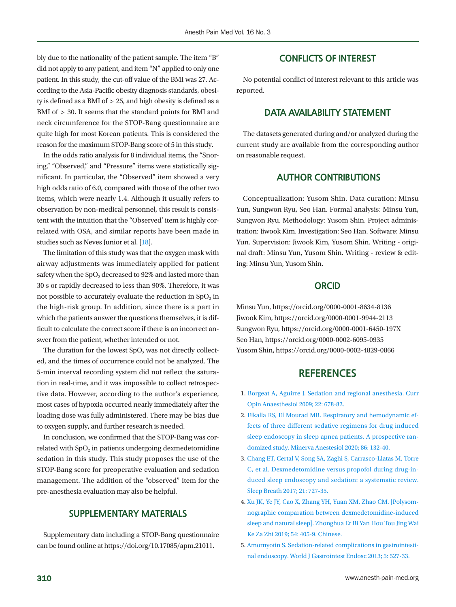bly due to the nationality of the patient sample. The item "B" did not apply to any patient, and item "N" applied to only one patient. In this study, the cut-off value of the BMI was 27. According to the Asia-Pacific obesity diagnosis standards, obesity is defined as a BMI of > 25, and high obesity is defined as a BMI of > 30. It seems that the standard points for BMI and neck circumference for the STOP-Bang questionnaire are quite high for most Korean patients. This is considered the reason for the maximum STOP-Bang score of 5 in this study.

In the odds ratio analysis for 8 individual items, the "Snoring," "Observed," and "Pressure" items were statistically significant. In particular, the "Observed" item showed a very high odds ratio of 6.0, compared with those of the other two items, which were nearly 1.4. Although it usually refers to observation by non-medical personnel, this result is consistent with the intuition that the "Observed' item is highly correlated with OSA, and similar reports have been made in studies such as Neves Junior et al. [\[18](#page-6-12)].

The limitation of this study was that the oxygen mask with airway adjustments was immediately applied for patient safety when the SpO<sub>2</sub> decreased to 92% and lasted more than 30 s or rapidly decreased to less than 90%. Therefore, it was not possible to accurately evaluate the reduction in  $SpO<sub>2</sub>$  in the high-risk group. In addition, since there is a part in which the patients answer the questions themselves, it is difficult to calculate the correct score if there is an incorrect answer from the patient, whether intended or not.

The duration for the lowest SpO<sub>2</sub> was not directly collected, and the times of occurrence could not be analyzed. The 5-min interval recording system did not reflect the saturation in real-time, and it was impossible to collect retrospective data. However, according to the author's experience, most cases of hypoxia occurred nearly immediately after the loading dose was fully administered. There may be bias due to oxygen supply, and further research is needed.

In conclusion, we confirmed that the STOP-Bang was correlated with  $SpO<sub>2</sub>$  in patients undergoing dexmedetomidine sedation in this study. This study proposes the use of the STOP-Bang score for preoperative evaluation and sedation management. The addition of the "observed" item for the pre-anesthesia evaluation may also be helpful.

## **SUPPLEMENTARY MATERIALS**

Supplementary data including a STOP-Bang questionnaire can be found online at https://doi.org/10.17085/apm.21011.

### **CONFLICTS OF INTEREST**

No potential conflict of interest relevant to this article was reported.

## **DATA AVAILABILITY STATEMENT**

The datasets generated during and/or analyzed during the current study are available from the corresponding author on reasonable request.

### **AUTHOR CONTRIBUTIONS**

Conceptualization: Yusom Shin. Data curation: Minsu Yun, Sungwon Ryu, Seo Han. Formal analysis: Minsu Yun, Sungwon Ryu. Methodology: Yusom Shin. Project administration: Jiwook Kim. Investigation: Seo Han. Software: Minsu Yun. Supervision: Jiwook Kim, Yusom Shin. Writing - original draft: Minsu Yun, Yusom Shin. Writing - review & editing: Minsu Yun, Yusom Shin.

## **ORCID**

Minsu Yun, [https://orcid.org/0000-0001-8634-813](http://orcid.org/0000-0001-8634-8136)6 Jiwook Kim, [https://orcid.org/0000-0001-9944-2113](http://orcid.org/0000-0001-9944-2113) Sungwon Ryu, [https://orcid.org/0000-0001-6450-197X](http://orcid.org/0000-0001-6450-197X) Seo Han, [https://orcid.org/0000-0002-6095-0935](http://orcid.org/0000-0002-6095-0935) Yusom Shin, [https://orcid.org/0000-0002-4829-0866](http://orcid.org/0000-0002-4829-0866)

## **REFERENCES**

- <span id="page-5-0"></span>1. [Borgeat A, Aguirre J. Sedation and regional anesthesia. Curr](https://doi.org/10.1097/aco.0b013e32832f3320) [Opin Anaesthesiol 2009; 22: 678-82.](https://doi.org/10.1097/aco.0b013e32832f3320)
- <span id="page-5-1"></span>2. Elkalla RS, El Mou[rad MB. Respiratory and hemodynamic ef](https://doi.org/10.23736/s0375-9393.19.13875-8)[fects of three different sedative regimens for drug induced](https://doi.org/10.23736/s0375-9393.19.13875-8)  [sleep endoscopy in sleep apnea patients. A prospective ran](https://doi.org/10.23736/s0375-9393.19.13875-8)[domized study. Minerva Anestesiol 2020; 86: 132-40.](https://doi.org/10.23736/s0375-9393.19.13875-8)
- <span id="page-5-2"></span>3[. Chang ET, Certal V, Song SA, Zaghi S, Carrasco-Llatas M, Torre](https://doi.org/10.1007/s11325-017-1465-x) [C, et al. Dexmedetomidine versus propofol during drug-in](https://doi.org/10.1007/s11325-017-1465-x)[duced sleep endoscopy and sedation: a systematic review.](https://doi.org/10.1007/s11325-017-1465-x) [Sleep Breath 2017; 21: 727-35.](https://doi.org/10.1007/s11325-017-1465-x)
- <span id="page-5-3"></span>4[. Xu JK, Ye JY, Cao X, Zhang YH, Yuan XM, Zhao CM. \[Polysom](https://www.ncbi.nlm.nih.gov/pubmed/31262103)[nographic comparation between dexmedetomidine-induced](https://www.ncbi.nlm.nih.gov/pubmed/31262103)  [sleep and natural sleep\]. Zhonghua Er Bi Yan Hou Tou Jing Wai](https://www.ncbi.nlm.nih.gov/pubmed/31262103) [Ke Za Zhi 2019; 54: 405-9. Chinese.](https://www.ncbi.nlm.nih.gov/pubmed/31262103)
- <span id="page-5-4"></span>5[. Amornyotin S. Sedation-related complications in gastrointesti](https://doi.org/10.4253/wjge.v5.i11.527)[nal endoscopy. World J Gastrointest Endosc 2013; 5: 527-33](https://doi.org/10.4253/wjge.v5.i11.527).